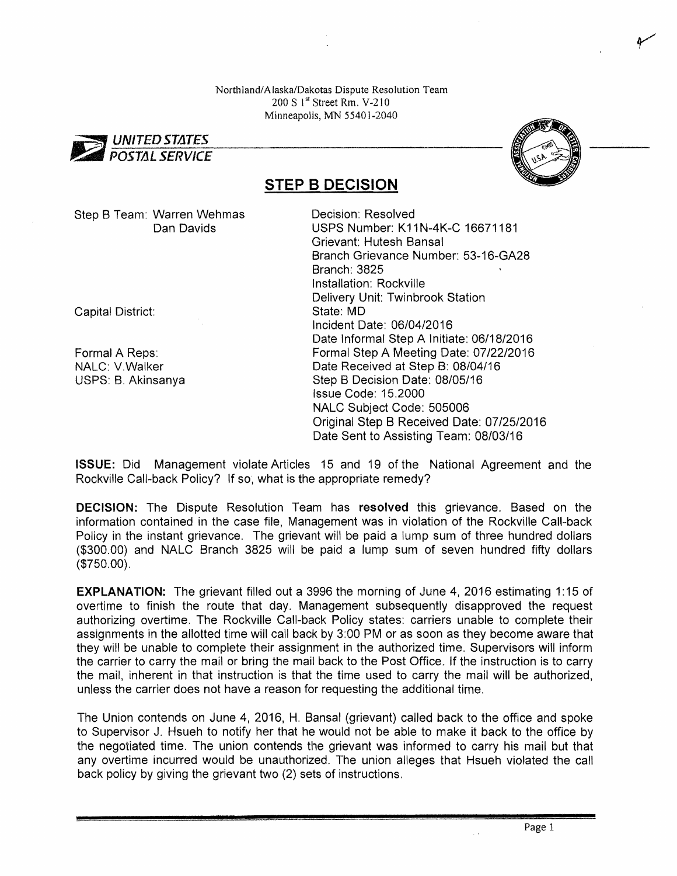Northland/Alaska/Dakotas Dispute Resolution Team  $200 S$  1<sup>st</sup> Street Rm. V-210 Minneapolis, MN 55401-2040





## **STEP B DECISION**

Step B Team: Warren Wehmas Decision: Resolved

Capital District: State: MD

Dan Davids USPS Number: K11N-4K-C 16671181 Grievant: Hutesh Bansal Branch Grievance Number: 53~16-GA28 Branch: 3825 Installation: Rockville Delivery Unit: Twinbrook Station Incident Date: 06/04/2016 Date Informal Step A Initiate: 06/18/2016 Formal A Reps: Formal Step A Meeting Date: 07/22/2016 NALC: V.Walker Date Received at Step B: 08/04/16 USPS: B. Akinsanya Step B Decision Date: 08/05/16 Issue Code: 15.2000 NALC Subject Code: 505006 Original Step B Received Date: 07/25/2016 Date Sent to Assisting Team: 08/03/16

ISSUE: Did Management violate Articles 15 and 19 of the National Agreement and the Rockville Call-back Policy? If so, what is the appropriate remedy?

DECISION: The Dispute Resolution Team has resolved this grievance. Based on the information contained in the case file, Management was in violation of the Rockville Call-back Policy in the instant grievance. The grievant will be paid a lump sum of three hundred dollars (\$300.00) and NALC Branch 3825 will be paid a lump sum of seven hundred fifty dollars (\$750.00).

**EXPLANATION:** The grievant filled out a 3996 the morning of June 4, 2016 estimating 1:15 of overtime to finish the route that day. Management subsequently disapproved the request authorizing overtime. The Rockville Call-back Policy states: carriers unable to complete their assignments in the allotted time will call back by 3:00 PM or as soon as they become aware that they will be unable to complete their assignment in the authorized time. Supervisors will inform the carrier to carry the mail or bring the mail back to the Post Office. If the instruction is to carry the mail, inherent in that instruction is that the time used to carry the mail will be authorized, unless the carrier does not have a reason for requesting the additional time.

The Union contends on June 4, 2016, H. Bansal (grievant) called back to the office and spoke to Supervisor J. Hsueh to notify her that he would not be able to make it back to the office by the negotiated time. The union contends the grievant was informed to carry his mail but that any overtime incurred would be unauthorized. The union alleges that Hsueh violated the call back policy by giving the grievant two (2) sets of instructions.